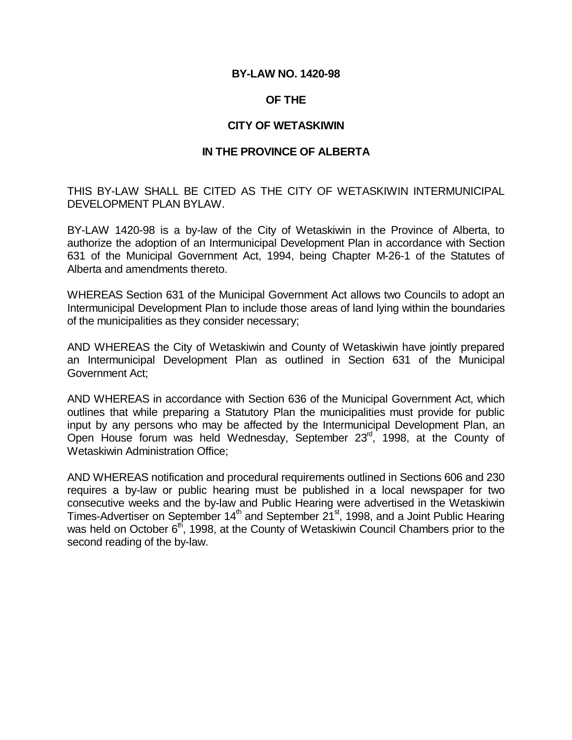#### **BY-LAW NO. 1420-98**

#### **OF THE**

#### **CITY OF WETASKIWIN**

#### **IN THE PROVINCE OF ALBERTA**

THIS BY-LAW SHALL BE CITED AS THE CITY OF WETASKIWIN INTERMUNICIPAL DEVELOPMENT PLAN BYLAW.

BY-LAW 1420-98 is a by-law of the City of Wetaskiwin in the Province of Alberta, to authorize the adoption of an Intermunicipal Development Plan in accordance with Section 631 of the Municipal Government Act, 1994, being Chapter M-26-1 of the Statutes of Alberta and amendments thereto.

WHEREAS Section 631 of the Municipal Government Act allows two Councils to adopt an Intermunicipal Development Plan to include those areas of land lying within the boundaries of the municipalities as they consider necessary;

AND WHEREAS the City of Wetaskiwin and County of Wetaskiwin have jointly prepared an Intermunicipal Development Plan as outlined in Section 631 of the Municipal Government Act;

AND WHEREAS in accordance with Section 636 of the Municipal Government Act, which outlines that while preparing a Statutory Plan the municipalities must provide for public input by any persons who may be affected by the Intermunicipal Development Plan, an Open House forum was held Wednesday, September 23<sup>rd</sup>, 1998, at the County of Wetaskiwin Administration Office;

AND WHEREAS notification and procedural requirements outlined in Sections 606 and 230 requires a by-law or public hearing must be published in a local newspaper for two consecutive weeks and the by-law and Public Hearing were advertised in the Wetaskiwin Times-Advertiser on September  $14<sup>th</sup>$  and September  $21<sup>st</sup>$ , 1998, and a Joint Public Hearing was held on October 6<sup>th</sup>, 1998, at the County of Wetaskiwin Council Chambers prior to the second reading of the by-law.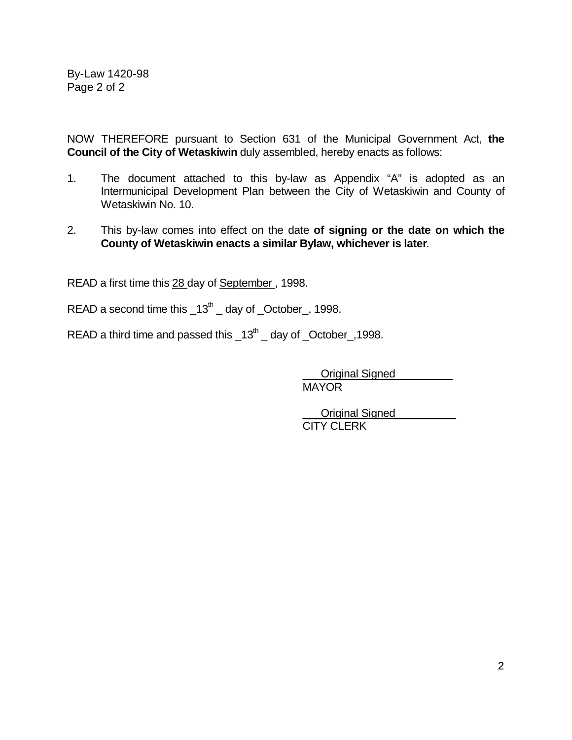By-Law 1420-98 Page 2 of 2

NOW THEREFORE pursuant to Section 631 of the Municipal Government Act, **the Council of the City of Wetaskiwin** duly assembled, hereby enacts as follows:

- 1. The document attached to this by-law as Appendix "A" is adopted as an Intermunicipal Development Plan between the City of Wetaskiwin and County of Wetaskiwin No. 10.
- 2. This by-law comes into effect on the date **of signing or the date on which the County of Wetaskiwin enacts a similar Bylaw, whichever is later**.

READ a first time this 28 day of September , 1998.

READ a second time this  $13<sup>th</sup>$  day of  $\degree$ October<sub>-1</sub>, 1998.

READ a third time and passed this  $-13^{th}$   $-$  day of  $\sim$  October  $\sim$ , 1998.

\_\_\_Original Signed \_\_\_\_\_\_\_\_\_ MAYOR

Original Signed CITY CLERK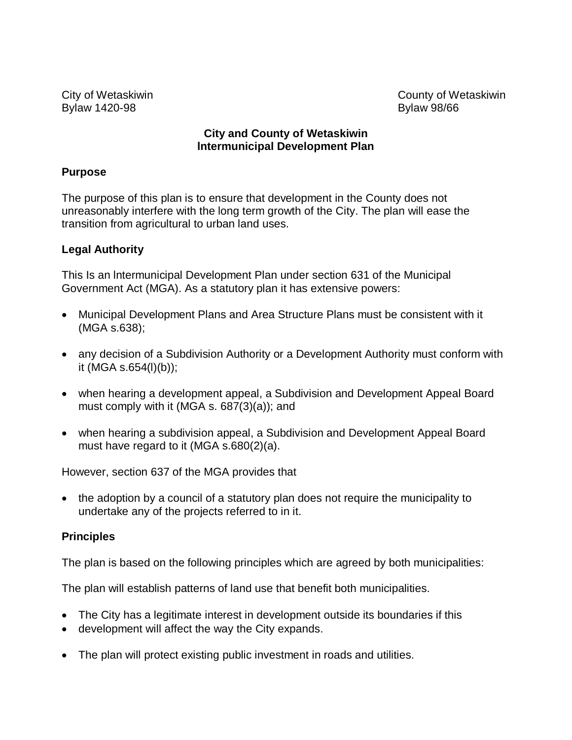Bylaw 1420-98 **Bylaw 98/66** 

City of Wetaskiwin County of Wetaskiwin

## **City and County of Wetaskiwin lntermunicipal Development Plan**

# **Purpose**

The purpose of this plan is to ensure that development in the County does not unreasonably interfere with the long term growth of the City. The plan will ease the transition from agricultural to urban land uses.

# **Legal Authority**

This Is an lntermunicipal Development Plan under section 631 of the Municipal Government Act (MGA). As a statutory plan it has extensive powers:

- Municipal Development Plans and Area Structure Plans must be consistent with it (MGA s.638);
- any decision of a Subdivision Authority or a Development Authority must conform with it (MGA s.654(l)(b));
- when hearing a development appeal, a Subdivision and Development Appeal Board must comply with it (MGA s. 687(3)(a)); and
- when hearing a subdivision appeal, a Subdivision and Development Appeal Board must have regard to it (MGA s.680(2)(a).

However, section 637 of the MGA provides that

• the adoption by a council of a statutory plan does not require the municipality to undertake any of the projects referred to in it.

# **Principles**

The plan is based on the following principles which are agreed by both municipalities:

The plan will establish patterns of land use that benefit both municipalities.

- The City has a legitimate interest in development outside its boundaries if this
- development will affect the way the City expands.
- The plan will protect existing public investment in roads and utilities.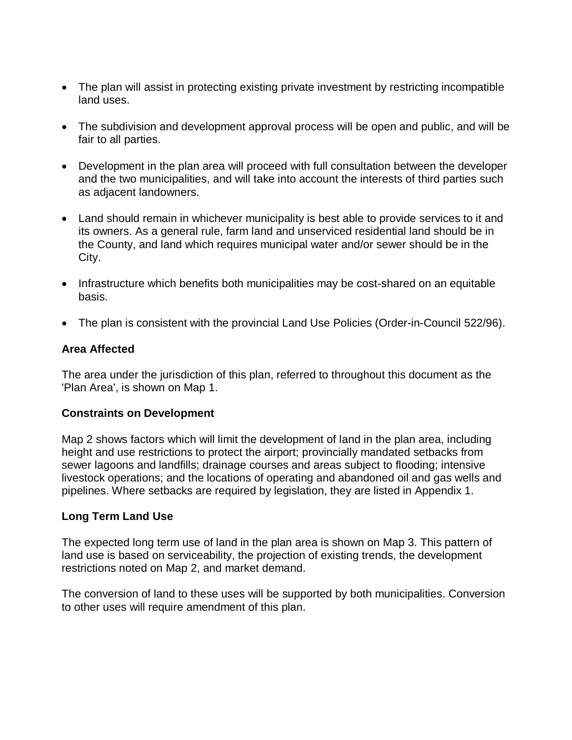- The plan will assist in protecting existing private investment by restricting incompatible land uses.
- The subdivision and development approval process will be open and public, and will be fair to all parties.
- Development in the plan area will proceed with full consultation between the developer and the two municipalities, and will take into account the interests of third parties such as adjacent landowners.
- Land should remain in whichever municipality is best able to provide services to it and its owners. As a general rule, farm land and unserviced residential land should be in the County, and land which requires municipal water and/or sewer should be in the City.
- Infrastructure which benefits both municipalities may be cost-shared on an equitable basis.
- The plan is consistent with the provincial Land Use Policies (Order-in-Council 522/96).

## **Area Affected**

The area under the jurisdiction of this plan, referred to throughout this document as the 'Plan Area', is shown on Map 1.

#### **Constraints on Development**

Map 2 shows factors which will limit the development of land in the plan area, including height and use restrictions to protect the airport; provincially mandated setbacks from sewer lagoons and landfills; drainage courses and areas subject to flooding; intensive livestock operations; and the locations of operating and abandoned oil and gas wells and pipelines. Where setbacks are required by legislation, they are listed in Appendix 1.

# **Long Term Land Use**

The expected long term use of land in the plan area is shown on Map 3. This pattern of land use is based on serviceability, the projection of existing trends, the development restrictions noted on Map 2, and market demand.

The conversion of land to these uses will be supported by both municipalities. Conversion to other uses will require amendment of this plan.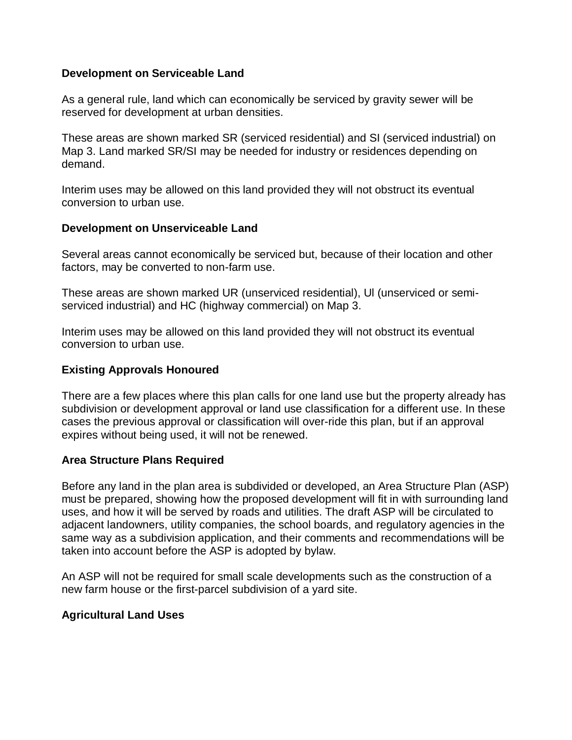#### **Development on Serviceable Land**

As a general rule, land which can economically be serviced by gravity sewer will be reserved for development at urban densities.

These areas are shown marked SR (serviced residential) and SI (serviced industrial) on Map 3. Land marked SR/SI may be needed for industry or residences depending on demand.

Interim uses may be allowed on this land provided they will not obstruct its eventual conversion to urban use.

#### **Development on Unserviceable Land**

Several areas cannot economically be serviced but, because of their location and other factors, may be converted to non-farm use.

These areas are shown marked UR (unserviced residential), Ul (unserviced or semiserviced industrial) and HC (highway commercial) on Map 3.

Interim uses may be allowed on this land provided they will not obstruct its eventual conversion to urban use.

# **Existing Approvals Honoured**

There are a few places where this plan calls for one land use but the property already has subdivision or development approval or land use classification for a different use. In these cases the previous approval or classification will over-ride this plan, but if an approval expires without being used, it will not be renewed.

#### **Area Structure Plans Required**

Before any land in the plan area is subdivided or developed, an Area Structure Plan (ASP) must be prepared, showing how the proposed development will fit in with surrounding land uses, and how it will be served by roads and utilities. The draft ASP will be circulated to adjacent landowners, utility companies, the school boards, and regulatory agencies in the same way as a subdivision application, and their comments and recommendations will be taken into account before the ASP is adopted by bylaw.

An ASP will not be required for small scale developments such as the construction of a new farm house or the first-parcel subdivision of a yard site.

# **Agricultural Land Uses**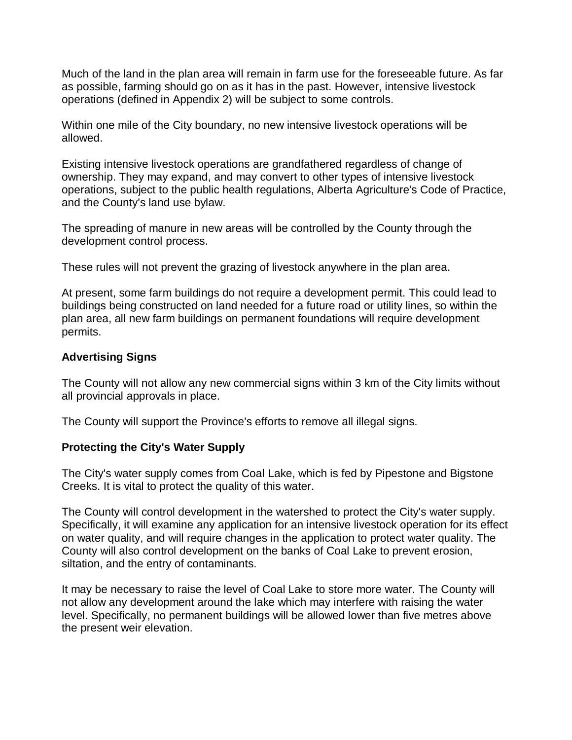Much of the land in the plan area will remain in farm use for the foreseeable future. As far as possible, farming should go on as it has in the past. However, intensive livestock operations (defined in Appendix 2) will be subject to some controls.

Within one mile of the City boundary, no new intensive livestock operations will be allowed.

Existing intensive livestock operations are grandfathered regardless of change of ownership. They may expand, and may convert to other types of intensive livestock operations, subject to the public health regulations, Alberta Agriculture's Code of Practice, and the County's land use bylaw.

The spreading of manure in new areas will be controlled by the County through the development control process.

These rules will not prevent the grazing of livestock anywhere in the plan area.

At present, some farm buildings do not require a development permit. This could lead to buildings being constructed on land needed for a future road or utility lines, so within the plan area, all new farm buildings on permanent foundations will require development permits.

# **Advertising Signs**

The County will not allow any new commercial signs within 3 km of the City limits without all provincial approvals in place.

The County will support the Province's efforts to remove all illegal signs.

# **Protecting the City's Water Supply**

The City's water supply comes from Coal Lake, which is fed by Pipestone and Bigstone Creeks. It is vital to protect the quality of this water.

The County will control development in the watershed to protect the City's water supply. Specifically, it will examine any application for an intensive livestock operation for its effect on water quality, and will require changes in the application to protect water quality. The County will also control development on the banks of Coal Lake to prevent erosion, siltation, and the entry of contaminants.

It may be necessary to raise the level of Coal Lake to store more water. The County will not allow any development around the lake which may interfere with raising the water level. Specifically, no permanent buildings will be allowed lower than five metres above the present weir elevation.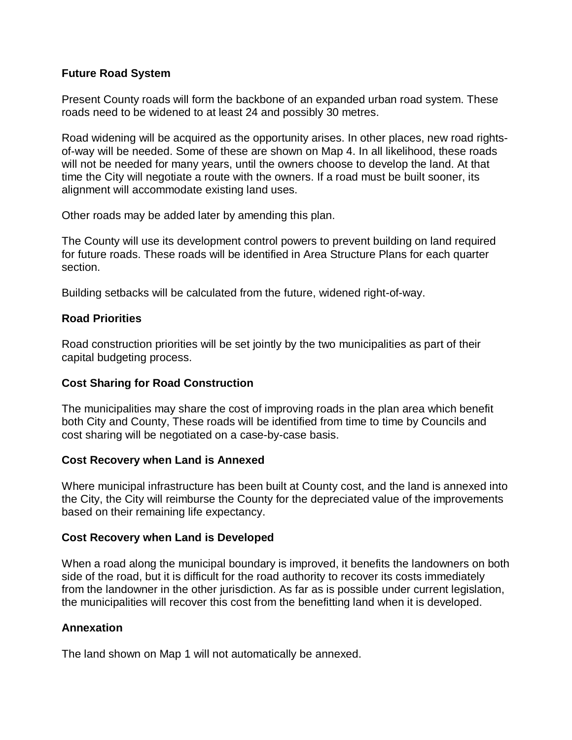## **Future Road System**

Present County roads will form the backbone of an expanded urban road system. These roads need to be widened to at least 24 and possibly 30 metres.

Road widening will be acquired as the opportunity arises. In other places, new road rightsof-way will be needed. Some of these are shown on Map 4. In all likelihood, these roads will not be needed for many years, until the owners choose to develop the land. At that time the City will negotiate a route with the owners. If a road must be built sooner, its alignment will accommodate existing land uses.

Other roads may be added later by amending this plan.

The County will use its development control powers to prevent building on land required for future roads. These roads will be identified in Area Structure Plans for each quarter section.

Building setbacks will be calculated from the future, widened right-of-way.

#### **Road Priorities**

Road construction priorities will be set jointly by the two municipalities as part of their capital budgeting process.

#### **Cost Sharing for Road Construction**

The municipalities may share the cost of improving roads in the plan area which benefit both City and County, These roads will be identified from time to time by Councils and cost sharing will be negotiated on a case-by-case basis.

#### **Cost Recovery when Land is Annexed**

Where municipal infrastructure has been built at County cost, and the land is annexed into the City, the City will reimburse the County for the depreciated value of the improvements based on their remaining life expectancy.

#### **Cost Recovery when Land is Developed**

When a road along the municipal boundary is improved, it benefits the landowners on both side of the road, but it is difficult for the road authority to recover its costs immediately from the landowner in the other jurisdiction. As far as is possible under current legislation, the municipalities will recover this cost from the benefitting land when it is developed.

#### **Annexation**

The land shown on Map 1 will not automatically be annexed.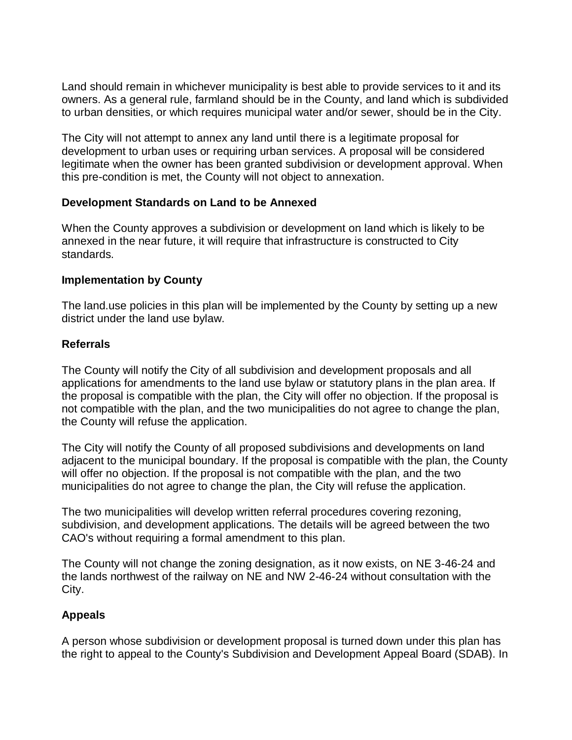Land should remain in whichever municipality is best able to provide services to it and its owners. As a general rule, farmland should be in the County, and land which is subdivided to urban densities, or which requires municipal water and/or sewer, should be in the City.

The City will not attempt to annex any land until there is a legitimate proposal for development to urban uses or requiring urban services. A proposal will be considered legitimate when the owner has been granted subdivision or development approval. When this pre-condition is met, the County will not object to annexation.

#### **Development Standards on Land to be Annexed**

When the County approves a subdivision or development on land which is likely to be annexed in the near future, it will require that infrastructure is constructed to City standards.

## **Implementation by County**

The land.use policies in this plan will be implemented by the County by setting up a new district under the land use bylaw.

## **Referrals**

The County will notify the City of all subdivision and development proposals and all applications for amendments to the land use bylaw or statutory plans in the plan area. If the proposal is compatible with the plan, the City will offer no objection. If the proposal is not compatible with the plan, and the two municipalities do not agree to change the plan, the County will refuse the application.

The City will notify the County of all proposed subdivisions and developments on land adjacent to the municipal boundary. If the proposal is compatible with the plan, the County will offer no objection. If the proposal is not compatible with the plan, and the two municipalities do not agree to change the plan, the City will refuse the application.

The two municipalities will develop written referral procedures covering rezoning, subdivision, and development applications. The details will be agreed between the two CAO's without requiring a formal amendment to this plan.

The County will not change the zoning designation, as it now exists, on NE 3-46-24 and the lands northwest of the railway on NE and NW 2-46-24 without consultation with the City.

# **Appeals**

A person whose subdivision or development proposal is turned down under this plan has the right to appeal to the County's Subdivision and Development Appeal Board (SDAB). In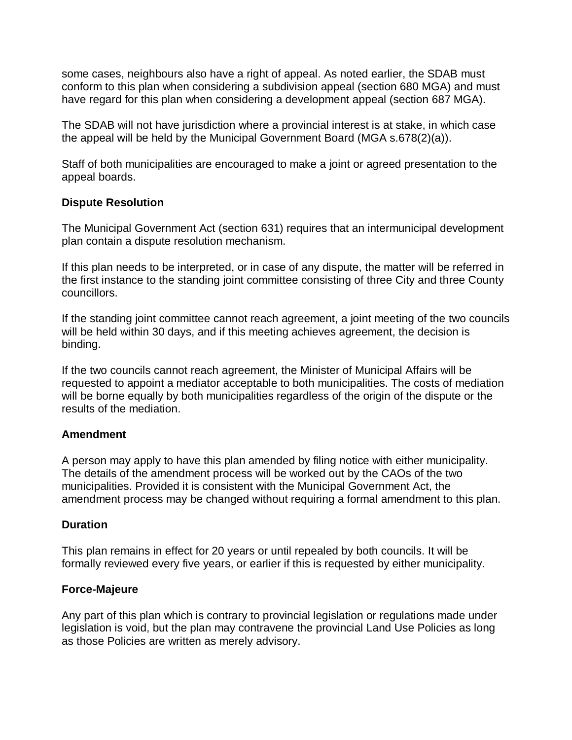some cases, neighbours also have a right of appeal. As noted earlier, the SDAB must conform to this plan when considering a subdivision appeal (section 680 MGA) and must have regard for this plan when considering a development appeal (section 687 MGA).

The SDAB will not have jurisdiction where a provincial interest is at stake, in which case the appeal will be held by the Municipal Government Board (MGA s.678(2)(a)).

Staff of both municipalities are encouraged to make a joint or agreed presentation to the appeal boards.

## **Dispute Resolution**

The Municipal Government Act (section 631) requires that an intermunicipal development plan contain a dispute resolution mechanism.

If this plan needs to be interpreted, or in case of any dispute, the matter will be referred in the first instance to the standing joint committee consisting of three City and three County councillors.

If the standing joint committee cannot reach agreement, a joint meeting of the two councils will be held within 30 days, and if this meeting achieves agreement, the decision is binding.

If the two councils cannot reach agreement, the Minister of Municipal Affairs will be requested to appoint a mediator acceptable to both municipalities. The costs of mediation will be borne equally by both municipalities regardless of the origin of the dispute or the results of the mediation.

#### **Amendment**

A person may apply to have this plan amended by filing notice with either municipality. The details of the amendment process will be worked out by the CAOs of the two municipalities. Provided it is consistent with the Municipal Government Act, the amendment process may be changed without requiring a formal amendment to this plan.

# **Duration**

This plan remains in effect for 20 years or until repealed by both councils. It will be formally reviewed every five years, or earlier if this is requested by either municipality.

# **Force-Majeure**

Any part of this plan which is contrary to provincial legislation or regulations made under legislation is void, but the plan may contravene the provincial Land Use Policies as long as those Policies are written as merely advisory.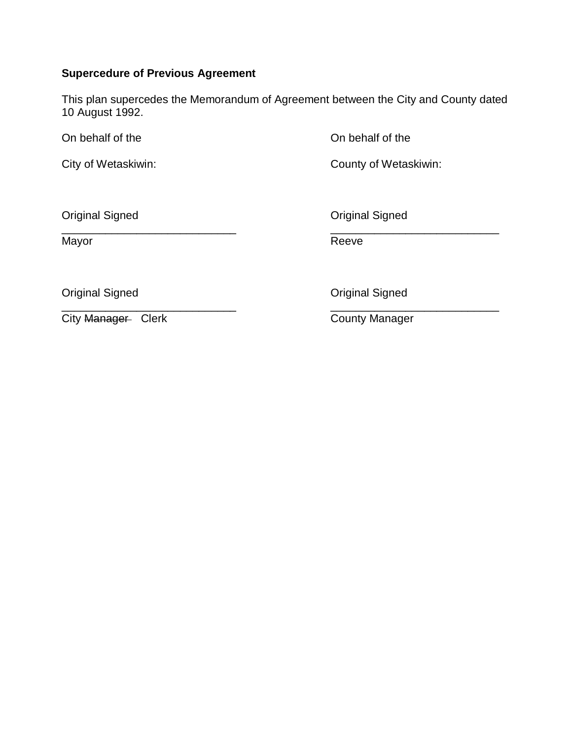# **Supercedure of Previous Agreement**

This plan supercedes the Memorandum of Agreement between the City and County dated 10 August 1992.

On behalf of the On behalf of the

City of Wetaskiwin: City of Wetaskiwin:

**Original Signed Community Community** Community Community Community Community Community Community Community Community Community Community Community Community Community Community Community Community Community Community Comm

\_\_\_\_\_\_\_\_\_\_\_\_\_\_\_\_\_\_\_\_\_\_\_\_\_\_\_\_ \_\_\_\_\_\_\_\_\_\_\_\_\_\_\_\_\_\_\_\_\_\_\_\_\_\_\_

Mayor **Mayor** Reeve

**Original Signed Community** Community Community Community Community Community Community Community Community Community Community Community Community Community Community Community Community Community Community Community Comm

City Manager Clerk County Manager

\_\_\_\_\_\_\_\_\_\_\_\_\_\_\_\_\_\_\_\_\_\_\_\_\_\_\_\_ \_\_\_\_\_\_\_\_\_\_\_\_\_\_\_\_\_\_\_\_\_\_\_\_\_\_\_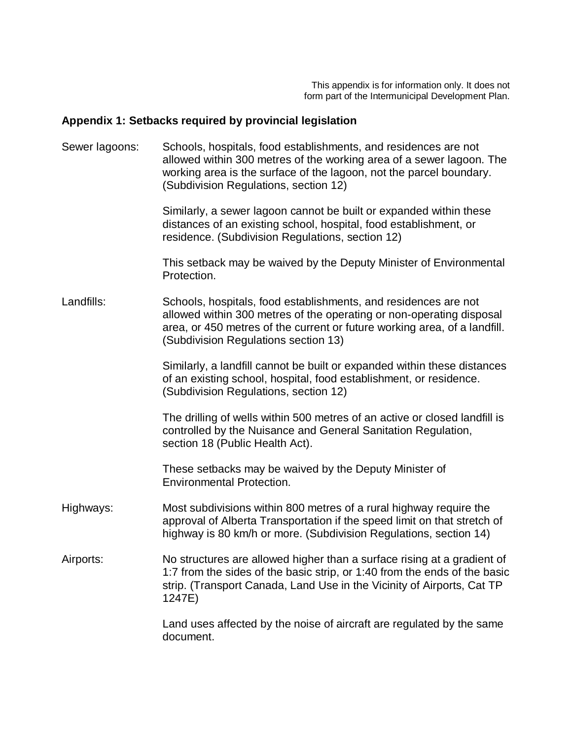This appendix is for information only. It does not form part of the Intermunicipal Development Plan.

# **Appendix 1: Setbacks required by provincial legislation**

| Sewer lagoons: | Schools, hospitals, food establishments, and residences are not<br>allowed within 300 metres of the working area of a sewer lagoon. The<br>working area is the surface of the lagoon, not the parcel boundary.<br>(Subdivision Regulations, section 12)      |
|----------------|--------------------------------------------------------------------------------------------------------------------------------------------------------------------------------------------------------------------------------------------------------------|
|                | Similarly, a sewer lagoon cannot be built or expanded within these<br>distances of an existing school, hospital, food establishment, or<br>residence. (Subdivision Regulations, section 12)                                                                  |
|                | This setback may be waived by the Deputy Minister of Environmental<br>Protection.                                                                                                                                                                            |
| Landfills:     | Schools, hospitals, food establishments, and residences are not<br>allowed within 300 metres of the operating or non-operating disposal<br>area, or 450 metres of the current or future working area, of a landfill.<br>(Subdivision Regulations section 13) |
|                | Similarly, a landfill cannot be built or expanded within these distances<br>of an existing school, hospital, food establishment, or residence.<br>(Subdivision Regulations, section 12)                                                                      |
|                | The drilling of wells within 500 metres of an active or closed landfill is<br>controlled by the Nuisance and General Sanitation Regulation,<br>section 18 (Public Health Act).                                                                               |
|                | These setbacks may be waived by the Deputy Minister of<br><b>Environmental Protection.</b>                                                                                                                                                                   |
| Highways:      | Most subdivisions within 800 metres of a rural highway require the<br>approval of Alberta Transportation if the speed limit on that stretch of<br>highway is 80 km/h or more. (Subdivision Regulations, section 14)                                          |
| Airports:      | No structures are allowed higher than a surface rising at a gradient of<br>1:7 from the sides of the basic strip, or 1:40 from the ends of the basic<br>strip. (Transport Canada, Land Use in the Vicinity of Airports, Cat TP<br>1247E)                     |
|                | Land uses affected by the noise of aircraft are regulated by the same<br>document.                                                                                                                                                                           |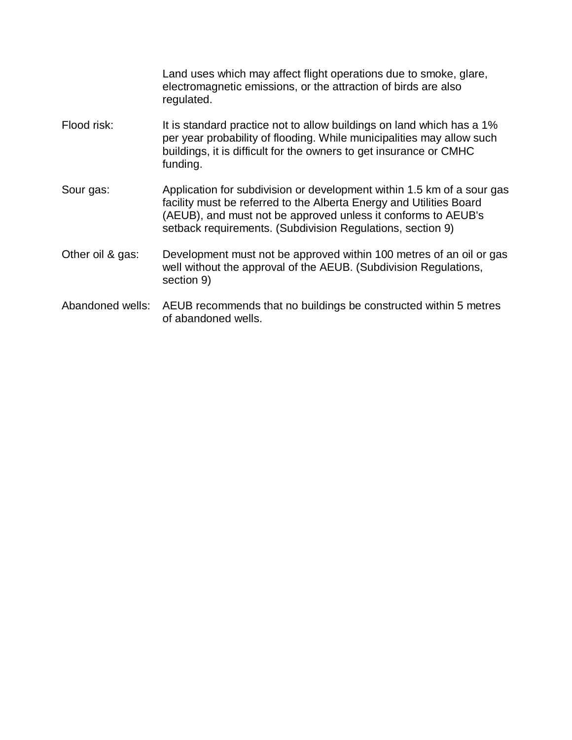Land uses which may affect flight operations due to smoke, glare, electromagnetic emissions, or the attraction of birds are also regulated.

- Flood risk: It is standard practice not to allow buildings on land which has a 1% per year probability of flooding. While municipalities may allow such buildings, it is difficult for the owners to get insurance or CMHC funding.
- Sour gas: Application for subdivision or development within 1.5 km of a sour gas facility must be referred to the Alberta Energy and Utilities Board (AEUB), and must not be approved unless it conforms to AEUB's setback requirements. (Subdivision Regulations, section 9)
- Other oil & gas: Development must not be approved within 100 metres of an oil or gas well without the approval of the AEUB. (Subdivision Regulations, section 9)
- Abandoned wells: AEUB recommends that no buildings be constructed within 5 metres of abandoned wells.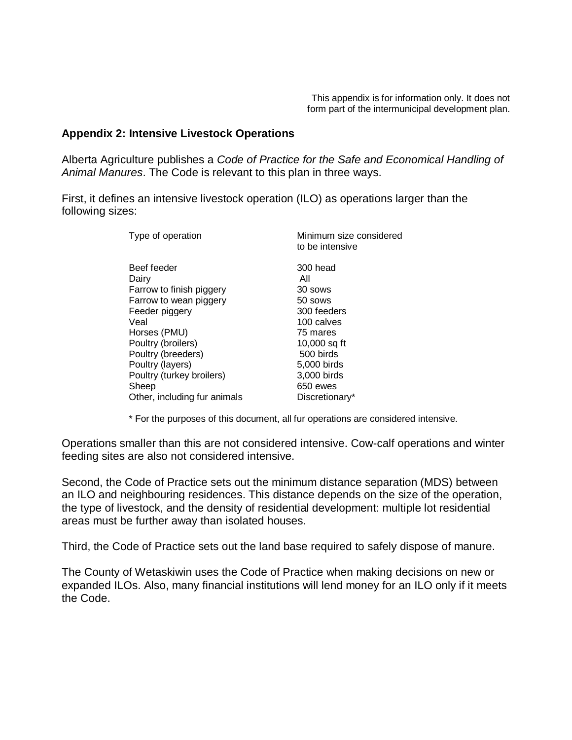#### **Appendix 2: Intensive Livestock Operations**

Alberta Agriculture publishes a *Code of Practice for the Safe and Economical Handling of Animal Manures*. The Code is relevant to this plan in three ways.

First, it defines an intensive livestock operation (ILO) as operations larger than the following sizes:

| Type of operation                                                                                                                                                                                                 | Minimum size considered<br>to be intensive                                                                                                  |
|-------------------------------------------------------------------------------------------------------------------------------------------------------------------------------------------------------------------|---------------------------------------------------------------------------------------------------------------------------------------------|
| Beef feeder<br>Dairy<br>Farrow to finish piggery<br>Farrow to wean piggery<br>Feeder piggery<br>Veal<br>Horses (PMU)<br>Poultry (broilers)<br>Poultry (breeders)<br>Poultry (layers)<br>Poultry (turkey broilers) | 300 head<br>All<br>30 sows<br>50 sows<br>300 feeders<br>100 calves<br>75 mares<br>$10,000$ sq ft<br>500 birds<br>5,000 birds<br>3,000 birds |
| Sheep                                                                                                                                                                                                             | 650 ewes                                                                                                                                    |
| Other, including fur animals                                                                                                                                                                                      | Discretionary*                                                                                                                              |

\* For the purposes of this document, all fur operations are considered intensive.

Operations smaller than this are not considered intensive. Cow-calf operations and winter feeding sites are also not considered intensive.

Second, the Code of Practice sets out the minimum distance separation (MDS) between an ILO and neighbouring residences. This distance depends on the size of the operation, the type of livestock, and the density of residential development: multiple lot residential areas must be further away than isolated houses.

Third, the Code of Practice sets out the land base required to safely dispose of manure.

The County of Wetaskiwin uses the Code of Practice when making decisions on new or expanded ILOs. Also, many financial institutions will lend money for an ILO only if it meets the Code.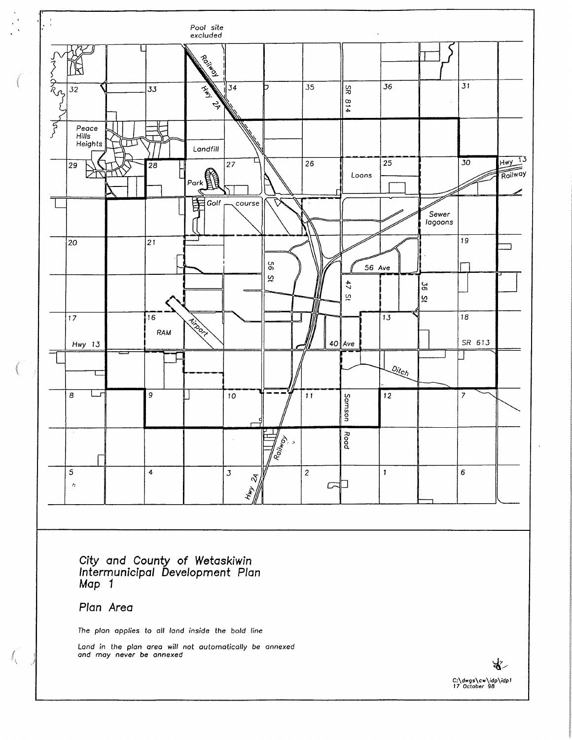

City and County of Wetaskiwin<br>Intermunicipal Development Plan<br>Map 1

Plan Area

 $\int_{\chi}$ 

The plan applies to all land inside the bold line

Land in the plan area will not automatically be annexed<br>and may never be annexed

ঋ৴ C:\dwgs\cw\idp\idp1<br>17 October 98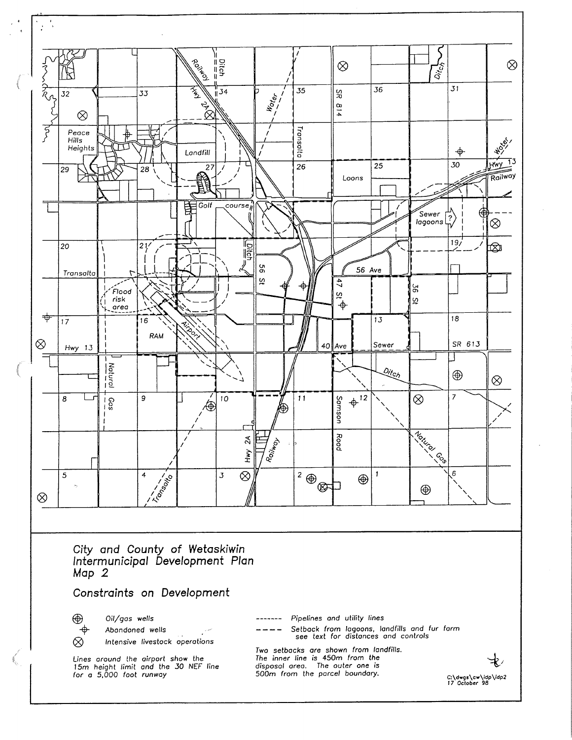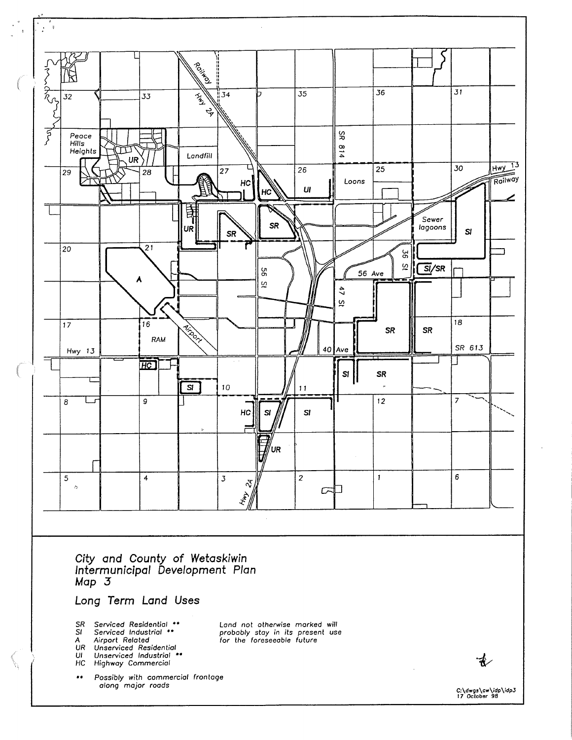

 $\bigwedge$